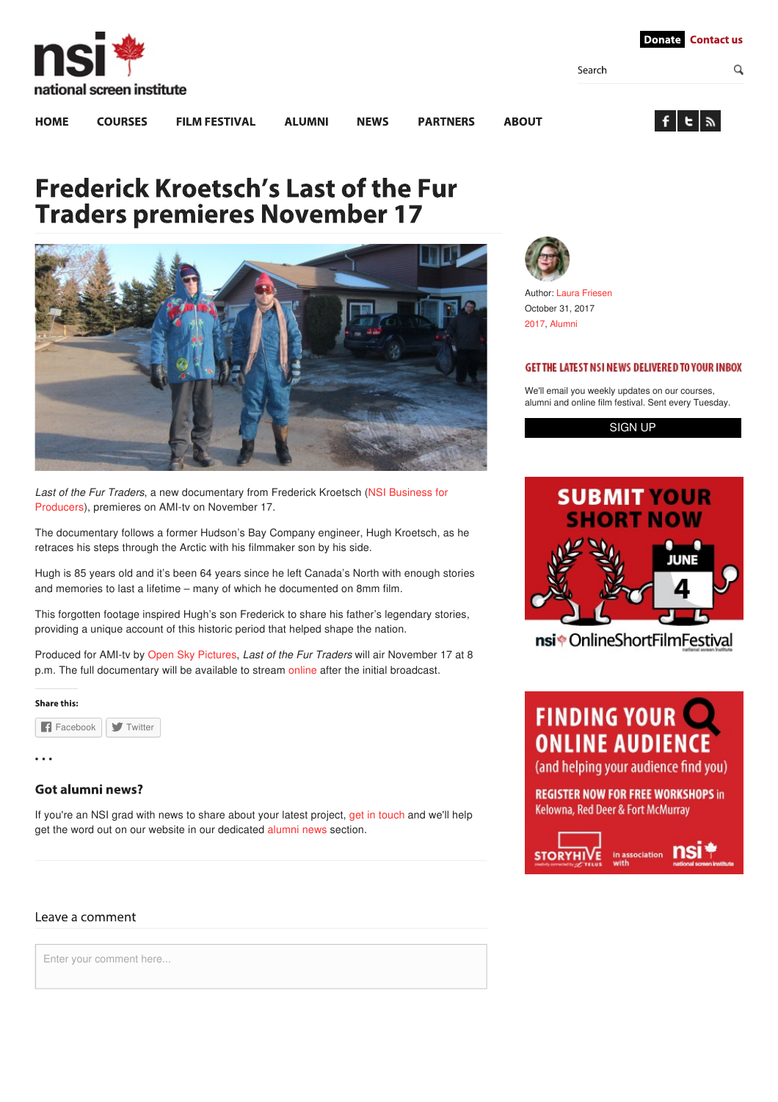$f \mid t \mid \hat{m}$ 

Search



**HOME** 

**ALUMNI** 

**NEWS** 

```
PARTNERS
```
## **Frederick Kroetsch's Last of the Fur Traders premieres November 17**



*Last of the Fur Traders*, a new [documentary](http://www.nsi-canada.ca/courses/nsi-business-for-producers) from Frederick Kroetsch (NSI Business for Producers), premieres on AMI-tv on November 17.

The documentary follows a former Hudson's Bay Company engineer, Hugh Kroetsch, as he retraces his steps through the Arctic with his filmmaker son by his side.

Hugh is 85 years old and it's been 64 years since he left Canada's North with enough stories and memories to last a lifetime – many of which he documented on 8mm film.

This forgotten footage inspired Hugh's son Frederick to share his father's legendary stories, providing a unique account of this historic period that helped shape the nation.

Produced for AMI-tv by Open Sky [Pictures](https://www.openskypictures.com/), *Last of the Fur Traders* will air November 17 at 8 p.m. The full documentary will be available to stream [online](http://www.ami.ca/category/ami-originals) after the initial broadcast.

#### Share this:



• • •

#### **Got alumni news?**

If you're an NSI grad with news to share about your latest project, get in [touch](mailto:laura.friesen@nsi-canada.ca) and we'll help get the word out on our website in our dedicated [alumni](http://www.nsi-canada.ca/category/alumni/) news section.

#### Leave a comment

Enter your comment here...



**ABOUT** 

Author: Laura [Friesen](http://www.nsi-canada.ca/author/laura-friesen/) October 31, 2017 [2017](http://www.nsi-canada.ca/tag/2017/), [Alumni](http://www.nsi-canada.ca/tag/alumni/)

### GET THE LATEST NSI NEWS DELIVERED TO YOUR INBOX

We'll email you weekly updates on our courses, alumni and online film festival. Sent every Tuesday.

[SIGN](http://eepurl.com/ilOg-/) UP



nsi<sup>®</sup> OnlineShortFilmFestival



(and helping your audience find you)

**REGISTER NOW FOR FREE WORKSHOPS in** Kelowna, Red Deer & Fort McMurray



Q